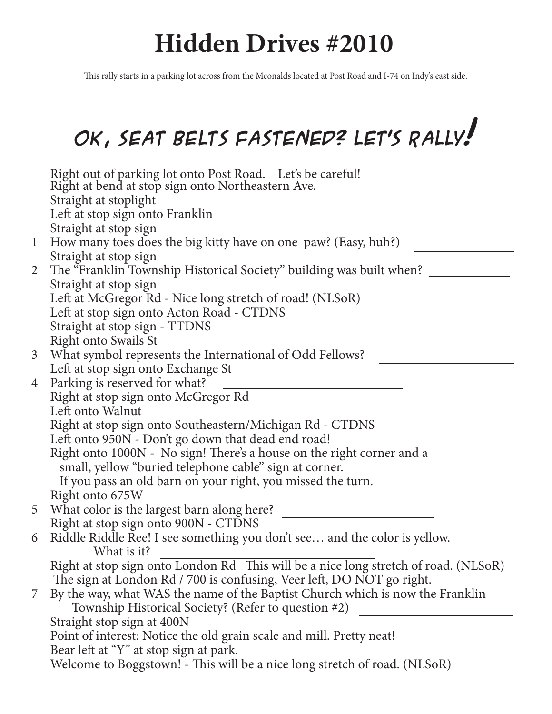## **Hidden Drives #2010**

This rally starts in a parking lot across from the Mconalds located at Post Road and I-74 on Indy's east side.

## **OK, Seat Belts fastened? Let's Rally!**

|                | Right out of parking lot onto Post Road. Let's be careful!<br>Right at bend at stop sign onto Northeastern Ave. |
|----------------|-----------------------------------------------------------------------------------------------------------------|
|                | Straight at stoplight                                                                                           |
|                | Left at stop sign onto Franklin                                                                                 |
|                | Straight at stop sign                                                                                           |
| $\mathbf{1}$   | How many toes does the big kitty have on one paw? (Easy, huh?)                                                  |
|                | Straight at stop sign                                                                                           |
| $\overline{2}$ | The "Franklin Township Historical Society" building was built when?                                             |
|                | Straight at stop sign<br>Left at McGregor Rd - Nice long stretch of road! (NLSoR)                               |
|                | Left at stop sign onto Acton Road - CTDNS                                                                       |
|                | Straight at stop sign - TTDNS                                                                                   |
|                | <b>Right onto Swails St</b>                                                                                     |
| $\mathfrak{Z}$ | What symbol represents the International of Odd Fellows?                                                        |
|                | Left at stop sign onto Exchange St                                                                              |
| 4              | Parking is reserved for what?                                                                                   |
|                | Right at stop sign onto McGregor Rd                                                                             |
|                | Left onto Walnut                                                                                                |
|                | Right at stop sign onto Southeastern/Michigan Rd - CTDNS                                                        |
|                | Left onto 950N - Don't go down that dead end road!                                                              |
|                | Right onto 1000N - No sign! There's a house on the right corner and a                                           |
|                | small, yellow "buried telephone cable" sign at corner.                                                          |
|                | If you pass an old barn on your right, you missed the turn.                                                     |
|                | Right onto 675W                                                                                                 |
| 5              | What color is the largest barn along here?                                                                      |
|                | Right at stop sign onto 900N - CTDNS                                                                            |
| 6              | Riddle Riddle Ree! I see something you don't see and the color is yellow.<br>What is it?                        |
|                | Right at stop sign onto London Rd This will be a nice long stretch of road. (NLSoR)                             |
|                | The sign at London Rd / 700 is confusing, Veer left, DO NOT go right.                                           |
| 7              | By the way, what WAS the name of the Baptist Church which is now the Franklin                                   |
|                | Township Historical Society? (Refer to question #2)                                                             |
|                | Straight stop sign at 400N                                                                                      |
|                | Point of interest: Notice the old grain scale and mill. Pretty neat!                                            |
|                | Bear left at "Y" at stop sign at park.                                                                          |
|                | Welcome to Boggstown! - This will be a nice long stretch of road. (NLSoR)                                       |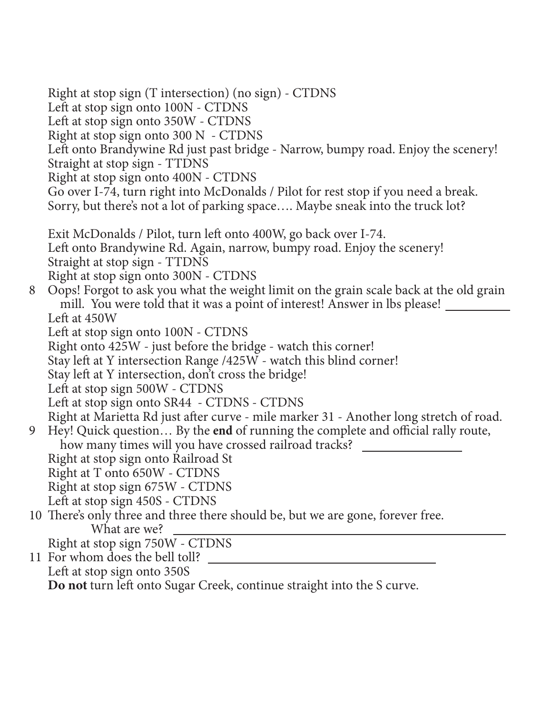Right at stop sign (T intersection) (no sign) - CTDNS Left at stop sign onto 100N - CTDNS Left at stop sign onto 350W - CTDNS Right at stop sign onto 300 N - CTDNS Left onto Brandywine Rd just past bridge - Narrow, bumpy road. Enjoy the scenery! Straight at stop sign - TTDNS Right at stop sign onto 400N - CTDNS Go over I-74, turn right into McDonalds / Pilot for rest stop if you need a break. Sorry, but there's not a lot of parking space…. Maybe sneak into the truck lot? Exit McDonalds / Pilot, turn left onto 400W, go back over I-74. Left onto Brandywine Rd. Again, narrow, bumpy road. Enjoy the scenery! Straight at stop sign - TTDNS Right at stop sign onto 300N - CTDNS 8 Oops! Forgot to ask you what the weight limit on the grain scale back at the old grain mill. You were told that it was a point of interest! Answer in lbs please! Left at 450W Left at stop sign onto 100N - CTDNS Right onto 425W - just before the bridge - watch this corner! Stay left at Y intersection Range /425W - watch this blind corner! Stay left at Y intersection, don't cross the bridge! Left at stop sign 500W - CTDNS Left at stop sign onto SR44 - CTDNS - CTDNS Right at Marietta Rd just after curve - mile marker 31 - Another long stretch of road. 9 Hey! Quick question… By the **end** of running the complete and official rally route, how many times will you have crossed railroad tracks? Right at stop sign onto Railroad St Right at T onto 650W - CTDNS Right at stop sign 675W - CTDNS Left at stop sign 450S - CTDNS 10 There's only three and three there should be, but we are gone, forever free. What are we? Right at stop sign 750W - CTDNS 11 For whom does the bell toll? Left at stop sign onto 350S

**Do not** turn left onto Sugar Creek, continue straight into the S curve.